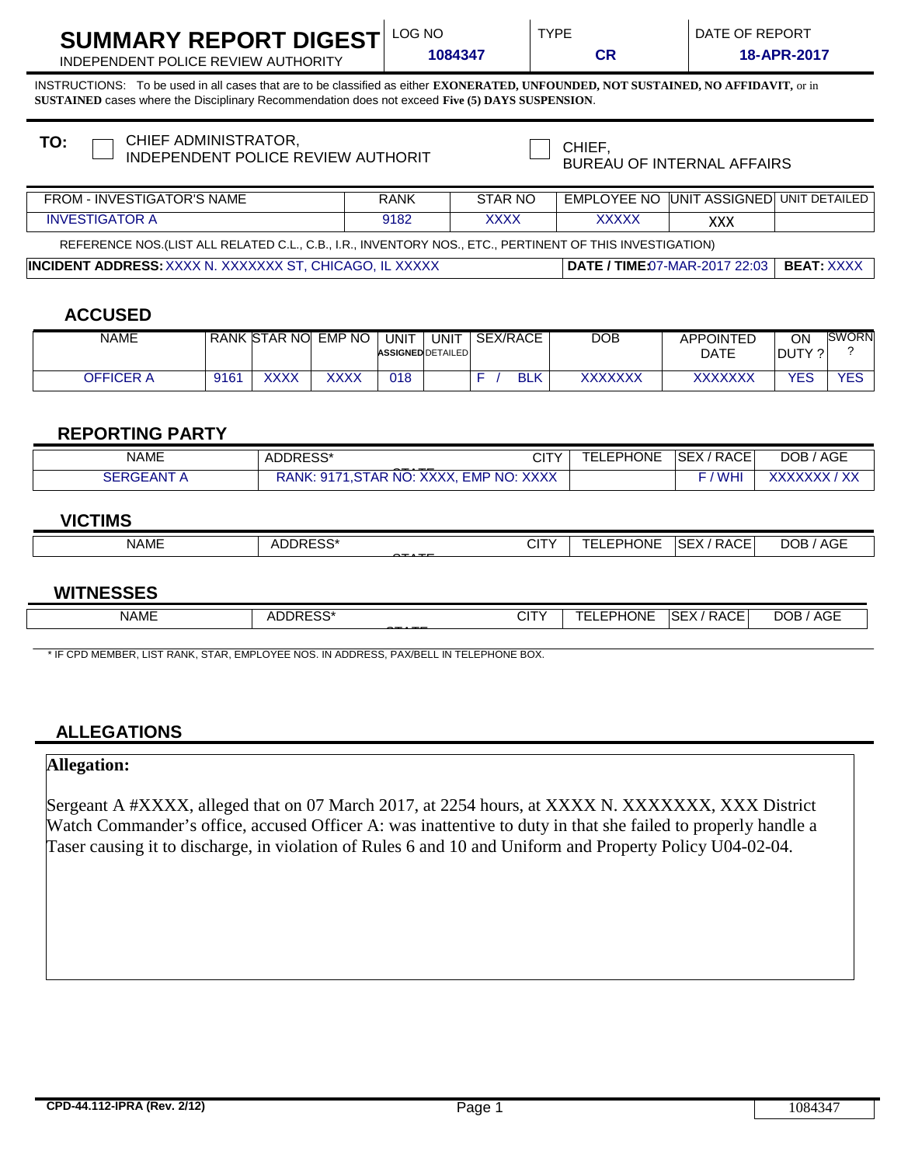| SUMMARY REPORT DIGEST $\mathsf{^{LO}}$ |  |
|----------------------------------------|--|
|----------------------------------------|--|

**1084347 CR** INDEPENDENT POLICE REVIEW AUTHORITY **18-APR-2017**

INSTRUCTIONS: To be used in all cases that are to be classified as either **EXONERATED, UNFOUNDED, NOT SUSTAINED, NO AFFIDAVIT,** or in **SUSTAINED** cases where the Disciplinary Recommendation does not exceed **Five (5) DAYS SUSPENSION**.

| CHIEF ADMINISTRATOR,<br>TO:<br>INDEPENDENT POLICE REVIEW AUTHORIT                                        |             | CHIEF,<br><b>BUREAU OF INTERNAL AFFAIRS</b> |                                                |            |  |  |  |
|----------------------------------------------------------------------------------------------------------|-------------|---------------------------------------------|------------------------------------------------|------------|--|--|--|
| FROM - INVESTIGATOR'S NAME                                                                               | <b>RANK</b> | STAR NO                                     | <b>EMPLOYEE NO UNIT ASSIGNED UNIT DETAILED</b> |            |  |  |  |
| <b>INVESTIGATOR A</b>                                                                                    | 9182        | <b>XXXX</b>                                 | <b>XXXXX</b>                                   | <b>XXX</b> |  |  |  |
| REFERENCE NOS.(LIST ALL RELATED C.L., C.B., I.R., INVENTORY NOS., ETC., PERTINENT OF THIS INVESTIGATION) |             |                                             |                                                |            |  |  |  |
| I <b>INCIDENT ADDRESS:</b> XXXX N. XXXXXXX ST. CHICAGO. IL XXXXX                                         |             | <b>DATE / TIME:07-MAR-2017 22:03</b>        | <b>BEAT XXXX</b>                               |            |  |  |  |
|                                                                                                          |             |                                             |                                                |            |  |  |  |

# **ACCUSED**

| NAME      |      | RANK STAR NO | <b>EMP NO</b> | UNIT<br><b>ASSIGNED DETAILED</b> | UNIT | <b>SEX/RACE</b> | DOB            | <b>APPOINTED</b><br><b>DATE</b> | ON<br>DUTY ? | <b>SWORN</b> |
|-----------|------|--------------|---------------|----------------------------------|------|-----------------|----------------|---------------------------------|--------------|--------------|
| OFFICER A | 9161 | XXXX         | XXXX          | 018                              |      | <b>BLK</b>      | <b>XXXXXXX</b> | XXXXXXX                         | YES          | <b>YES</b>   |

## **REPORTING PARTY**

| <b>NAME</b>                      | $\sim$<br>ADDRESS*<br>◡▯<br>-----                                                         | --<br>. | <b>EPHONE</b> | RACE<br>SEX/  | <b>AGE</b><br>DOB.                     |
|----------------------------------|-------------------------------------------------------------------------------------------|---------|---------------|---------------|----------------------------------------|
| <b>ANT</b><br>oERGE <sup>7</sup> | <b>XXXX</b><br>NO:<br>STAR NO.<br><b>EMP</b><br>RANK.<br>Q1<br>$\wedge\wedge\wedge\wedge$ |         |               | 10111<br>∶WH∟ | $\lambda$<br><u>vwwww</u><br>$\Lambda$ |

## **VICTIMS**

| <b>NAME</b> | DDDFCC*<br>ے ب<br>$- - - -$ | .<br>- 12<br>◡੶੶<br>$\sim$ $\sim$ | <b>EPHONE</b><br>--<br>⊢ | $\lambda$ $\cap$ $\Gamma$<br>⊦SEX<br>' RACE.<br>___ | $\Lambda$ $\cap$ $\Gamma$<br>DOB<br>AGL<br>____<br>____ |
|-------------|-----------------------------|-----------------------------------|--------------------------|-----------------------------------------------------|---------------------------------------------------------|
|             |                             |                                   |                          |                                                     |                                                         |

#### **WITNESSES**

| <b>NAME</b> | DRESS*<br>4 I<br>ADI<br>1169<br>$-$ | 1T<br><b>UII</b> | <b>EPHONE</b><br>–<br>–<br>-<br>. | SEX<br><b>RACE</b> | <b>AGE</b><br><b>DOB</b> |
|-------------|-------------------------------------|------------------|-----------------------------------|--------------------|--------------------------|
|             |                                     |                  |                                   |                    |                          |

\* IF CPD MEMBER, LIST RANK, STAR, EMPLOYEE NOS. IN ADDRESS, PAX/BELL IN TELEPHONE BOX.

#### **ALLEGATIONS**

# **Allegation:**

Sergeant A #XXXX, alleged that on 07 March 2017, at 2254 hours, at XXXX N. XXXXXXX, XXX District Watch Commander's office, accused Officer A: was inattentive to duty in that she failed to properly handle a Taser causing it to discharge, in violation of Rules 6 and 10 and Uniform and Property Policy U04-02-04.